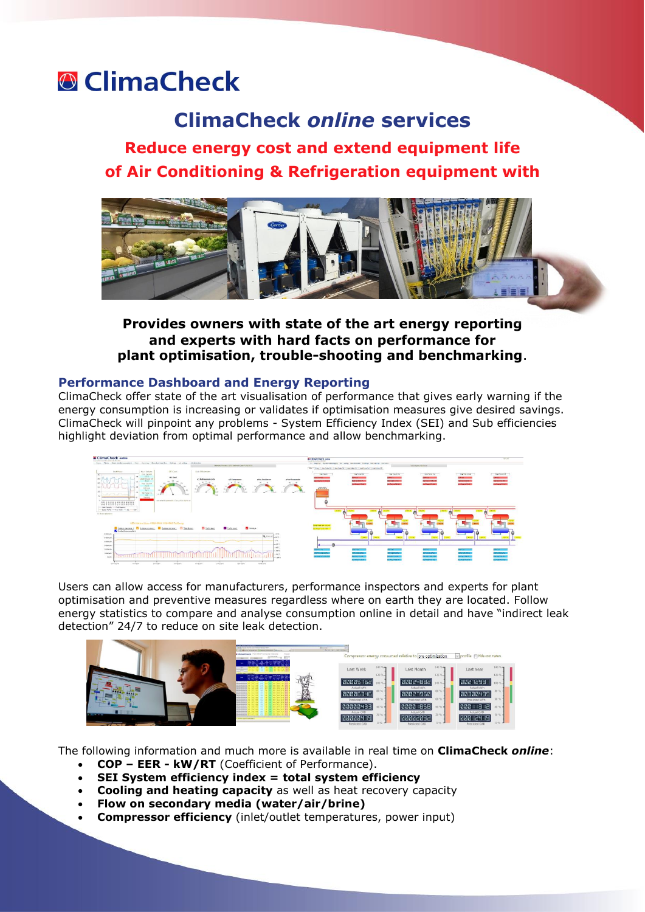# **<sup>®</sup>** ClimaCheck

## **ClimaCheck** *online* **services**

## **Reduce energy cost and extend equipment life of Air Conditioning & Refrigeration equipment with**



### **Provides owners with state of the art energy reporting and experts with hard facts on performance for plant optimisation, trouble-shooting and benchmarking**.

#### **Performance Dashboard and Energy Reporting**

ClimaCheck offer state of the art visualisation of performance that gives early warning if the energy consumption is increasing or validates if optimisation measures give desired savings. ClimaCheck will pinpoint any problems - System Efficiency Index (SEI) and Sub efficiencies highlight deviation from optimal performance and allow benchmarking.



Users can allow access for manufacturers, performance inspectors and experts for plant optimisation and preventive measures regardless where on earth they are located. Follow energy statistics to compare and analyse consumption online in detail and have "indirect leak detection" 24/7 to reduce on site leak detection.



The following information and much more is available in real time on **ClimaCheck** *online*:

- **COP – EER - kW/RT** (Coefficient of Performance).
- **SEI System efficiency index = total system efficiency**
- **Cooling and heating capacity** as well as heat recovery capacity
- **Flow on secondary media (water/air/brine)**
- **Compressor efficiency** (inlet/outlet temperatures, power input)